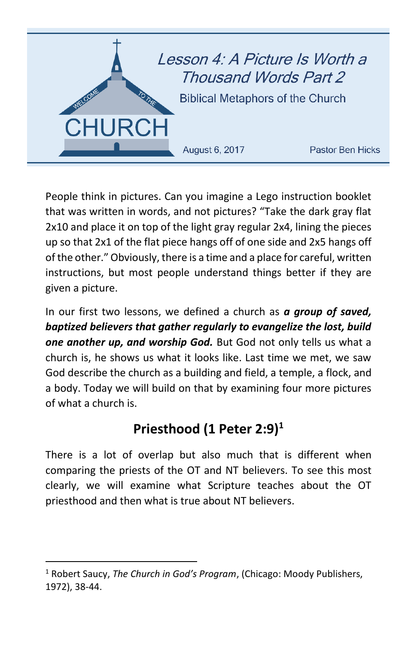

People think in pictures. Can you imagine a Lego instruction booklet that was written in words, and not pictures? "Take the dark gray flat 2x10 and place it on top of the light gray regular 2x4, lining the pieces up so that 2x1 of the flat piece hangs off of one side and 2x5 hangs off of the other." Obviously, there is a time and a place for careful, written instructions, but most people understand things better if they are given a picture.

In our first two lessons, we defined a church as *a group of saved, baptized believers that gather regularly to evangelize the lost, build one another up, and worship God.* But God not only tells us what a church is, he shows us what it looks like. Last time we met, we saw God describe the church as a building and field, a temple, a flock, and a body. Today we will build on that by examining four more pictures of what a church is.

# **Priesthood (1 Peter 2:9) 1**

There is a lot of overlap but also much that is different when comparing the priests of the OT and NT believers. To see this most clearly, we will examine what Scripture teaches about the OT priesthood and then what is true about NT believers.

 $\overline{\phantom{a}}$ 

<sup>1</sup> Robert Saucy, *The Church in God's Program*, (Chicago: Moody Publishers, 1972), 38-44.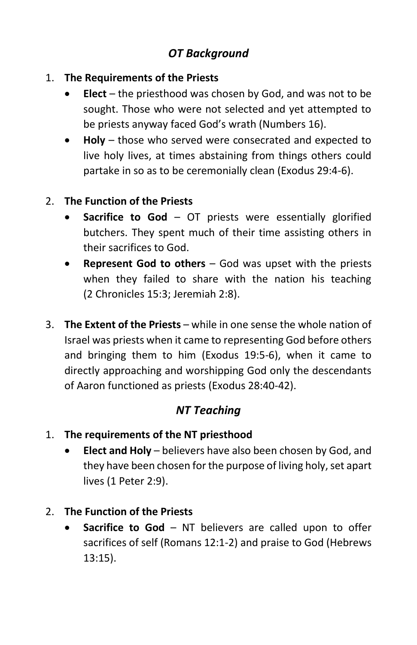## *OT Background*

- 1. **The Requirements of the Priests**
	- **Elect** the priesthood was chosen by God, and was not to be sought. Those who were not selected and yet attempted to be priests anyway faced God's wrath (Numbers 16).
	- **Holy** those who served were consecrated and expected to live holy lives, at times abstaining from things others could partake in so as to be ceremonially clean (Exodus 29:4-6).

#### 2. **The Function of the Priests**

- **Sacrifice to God** OT priests were essentially glorified butchers. They spent much of their time assisting others in their sacrifices to God.
- **Represent God to others** God was upset with the priests when they failed to share with the nation his teaching (2 Chronicles 15:3; Jeremiah 2:8).
- 3. **The Extent of the Priests** while in one sense the whole nation of Israel was priests when it came to representing God before others and bringing them to him (Exodus 19:5-6), when it came to directly approaching and worshipping God only the descendants of Aaron functioned as priests (Exodus 28:40-42).

#### *NT Teaching*

- 1. **The requirements of the NT priesthood**
	- **Elect and Holy** believers have also been chosen by God, and they have been chosen for the purpose of living holy, set apart lives (1 Peter 2:9).
- 2. **The Function of the Priests**
	- **Sacrifice to God** NT believers are called upon to offer sacrifices of self (Romans 12:1-2) and praise to God (Hebrews 13:15).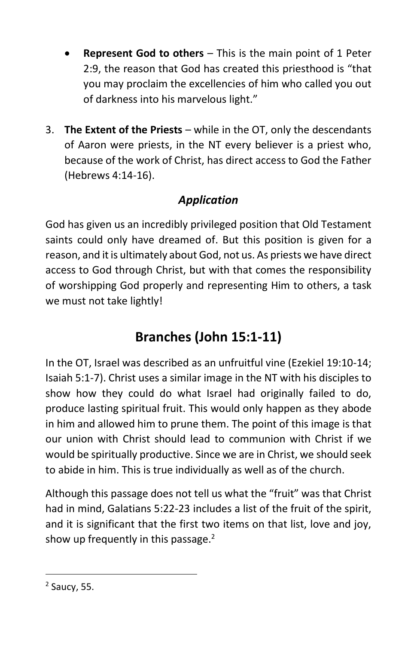- **Represent God to others** This is the main point of 1 Peter 2:9, the reason that God has created this priesthood is "that you may proclaim the excellencies of him who called you out of darkness into his marvelous light."
- 3. **The Extent of the Priests**  while in the OT, only the descendants of Aaron were priests, in the NT every believer is a priest who, because of the work of Christ, has direct access to God the Father (Hebrews 4:14-16).

## *Application*

God has given us an incredibly privileged position that Old Testament saints could only have dreamed of. But this position is given for a reason, and it is ultimately about God, not us. As priests we have direct access to God through Christ, but with that comes the responsibility of worshipping God properly and representing Him to others, a task we must not take lightly!

# **Branches (John 15:1-11)**

In the OT, Israel was described as an unfruitful vine (Ezekiel 19:10-14; Isaiah 5:1-7). Christ uses a similar image in the NT with his disciples to show how they could do what Israel had originally failed to do, produce lasting spiritual fruit. This would only happen as they abode in him and allowed him to prune them. The point of this image is that our union with Christ should lead to communion with Christ if we would be spiritually productive. Since we are in Christ, we should seek to abide in him. This is true individually as well as of the church.

Although this passage does not tell us what the "fruit" was that Christ had in mind, Galatians 5:22-23 includes a list of the fruit of the spirit, and it is significant that the first two items on that list, love and joy, show up frequently in this passage. $2$ 

 $\overline{\phantom{a}}$ 

<sup>&</sup>lt;sup>2</sup> Saucy, 55.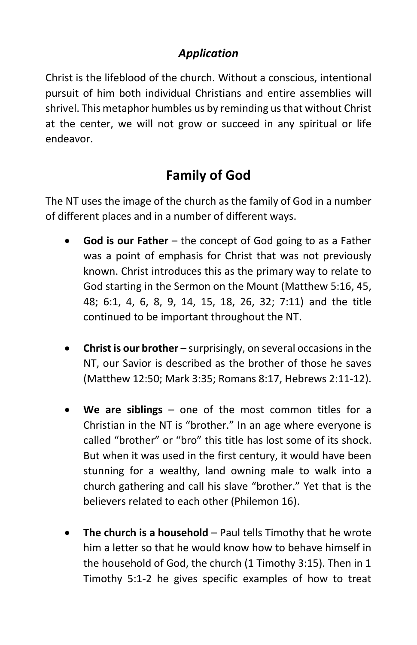### *Application*

Christ is the lifeblood of the church. Without a conscious, intentional pursuit of him both individual Christians and entire assemblies will shrivel. This metaphor humbles us by reminding us that without Christ at the center, we will not grow or succeed in any spiritual or life endeavor.

## **Family of God**

The NT uses the image of the church as the family of God in a number of different places and in a number of different ways.

- **God is our Father** the concept of God going to as a Father was a point of emphasis for Christ that was not previously known. Christ introduces this as the primary way to relate to God starting in the Sermon on the Mount (Matthew 5:16, 45, 48; 6:1, 4, 6, 8, 9, 14, 15, 18, 26, 32; 7:11) and the title continued to be important throughout the NT.
- **Christ is our brother** surprisingly, on several occasions in the NT, our Savior is described as the brother of those he saves (Matthew 12:50; Mark 3:35; Romans 8:17, Hebrews 2:11-12).
- **We are siblings** one of the most common titles for a Christian in the NT is "brother." In an age where everyone is called "brother" or "bro" this title has lost some of its shock. But when it was used in the first century, it would have been stunning for a wealthy, land owning male to walk into a church gathering and call his slave "brother." Yet that is the believers related to each other (Philemon 16).
- **The church is a household** Paul tells Timothy that he wrote him a letter so that he would know how to behave himself in the household of God, the church (1 Timothy 3:15). Then in 1 Timothy 5:1-2 he gives specific examples of how to treat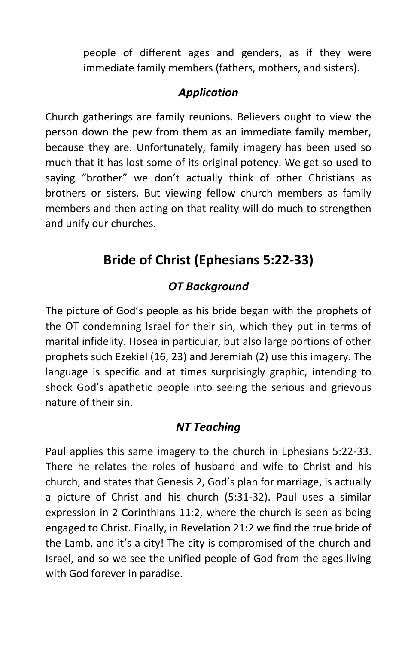people of different ages and genders, as if they were immediate family members (fathers, mothers, and sisters).

### *Application*

Church gatherings are family reunions. Believers ought to view the person down the pew from them as an immediate family member, because they are. Unfortunately, family imagery has been used so much that it has lost some of its original potency. We get so used to saying "brother" we don't actually think of other Christians as brothers or sisters. But viewing fellow church members as family members and then acting on that reality will do much to strengthen and unify our churches.

## **Bride of Christ (Ephesians 5:22-33)**

### *OT Background*

The picture of God's people as his bride began with the prophets of the OT condemning Israel for their sin, which they put in terms of marital infidelity. Hosea in particular, but also large portions of other prophets such Ezekiel (16, 23) and Jeremiah (2) use this imagery. The language is specific and at times surprisingly graphic, intending to shock God's apathetic people into seeing the serious and grievous nature of their sin.

### *NT Teaching*

Paul applies this same imagery to the church in Ephesians 5:22-33. There he relates the roles of husband and wife to Christ and his church, and states that Genesis 2, God's plan for marriage, is actually a picture of Christ and his church (5:31-32). Paul uses a similar expression in 2 Corinthians 11:2, where the church is seen as being engaged to Christ. Finally, in Revelation 21:2 we find the true bride of the Lamb, and it's a city! The city is compromised of the church and Israel, and so we see the unified people of God from the ages living with God forever in paradise.